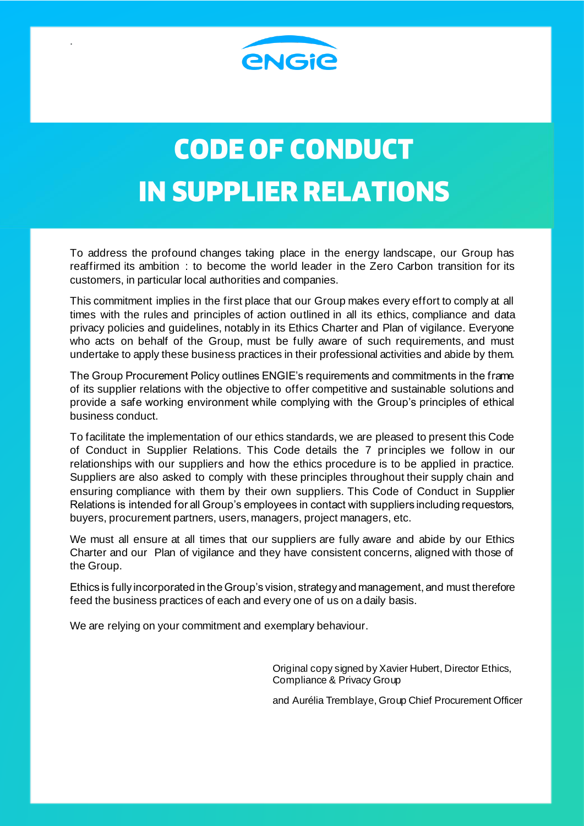

.

# **CODE OF CONDUCT IN SUPPLIER RELATIONS**

To address the profound changes taking place in the energy landscape, our Group has reaffirmed its ambition : to become the world leader in the Zero Carbon transition for its customers, in particular local authorities and companies.

This commitment implies in the first place that our Group makes every effort to comply at all times with the rules and principles of action outlined in all its ethics, compliance and data privacy policies and guidelines, notably in its Ethics Charter and Plan of vigilance. Everyone who acts on behalf of the Group, must be fully aware of such requirements, and must undertake to apply these business practices in their professional activities and abide by them.

The Group Procurement Policy outlines ENGIE's requirements and commitments in the frame of its supplier relations with the objective to offer competitive and sustainable solutions and provide a safe working environment while complying with the Group's principles of ethical business conduct.

To facilitate the implementation of our ethics standards, we are pleased to present this Code of Conduct in Supplier Relations. This Code details the 7 principles we follow in our relationships with our suppliers and how the ethics procedure is to be applied in practice. Suppliers are also asked to comply with these principles throughout their supply chain and ensuring compliance with them by their own suppliers. This Code of Conduct in Supplier Relations is intended for all Group's employees in contact with suppliers including requestors, buyers, procurement partners, users, managers, project managers, etc.

We must all ensure at all times that our suppliers are fully aware and abide by our Ethics Charter and our Plan of vigilance and they have consistent concerns, aligned with those of the Group.

Ethics is fully incorporated in the Group's vision, strategy and management, and must therefore feed the business practices of each and every one of us on a daily basis.

We are relying on your commitment and exemplary behaviour.

Original copy signed by Xavier Hubert, Director Ethics, Compliance & Privacy Group

and Aurélia Tremblaye, Group Chief Procurement Officer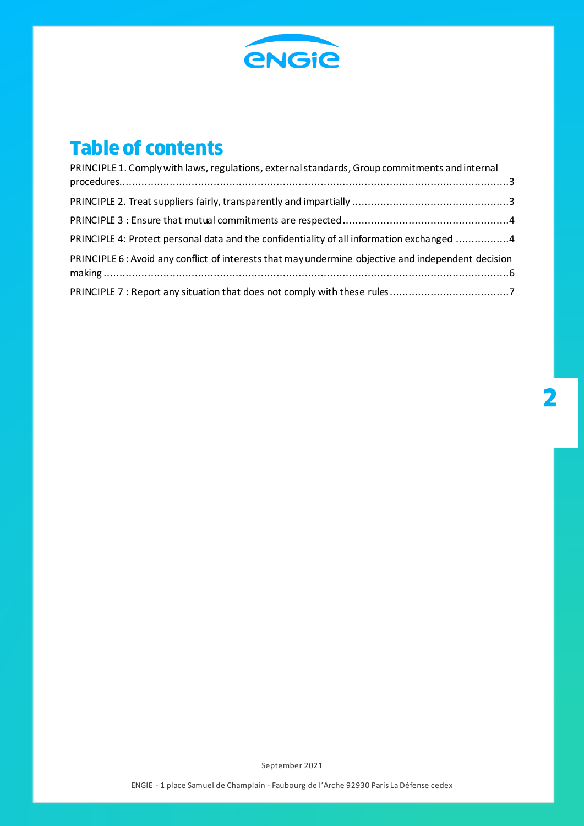

#### **Table of contents**

| PRINCIPLE 1. Comply with laws, regulations, external standards, Group commitments and internal     |  |
|----------------------------------------------------------------------------------------------------|--|
|                                                                                                    |  |
|                                                                                                    |  |
| PRINCIPLE 4: Protect personal data and the confidentiality of all information exchanged 4          |  |
| PRINCIPLE 6: Avoid any conflict of interests that may undermine objective and independent decision |  |
|                                                                                                    |  |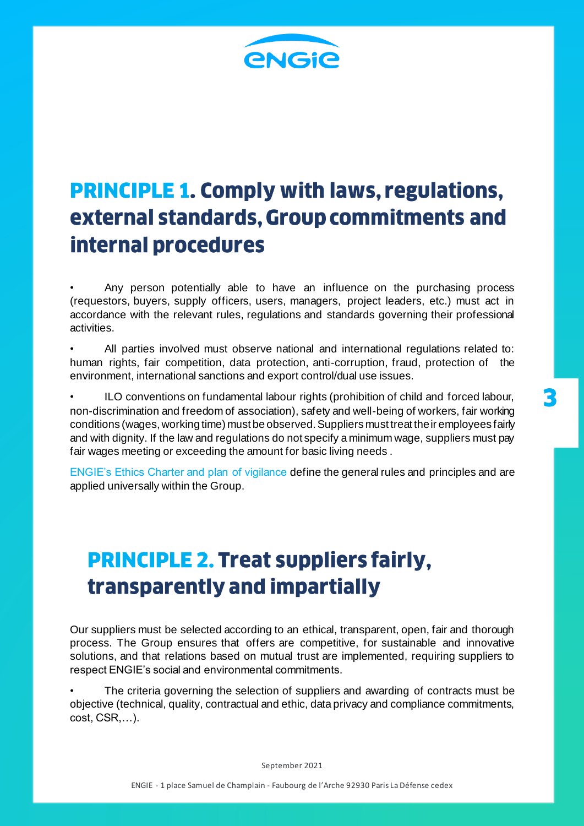

### <span id="page-2-0"></span>**PRINCIPLE 1. Comply with laws, regulations,** external standards, Group commitments and internal procedures

Any person potentially able to have an influence on the purchasing process (requestors, buyers, supply officers, users, managers, project leaders, etc.) must act in accordance with the relevant rules, regulations and standards governing their professional activities.

• All parties involved must observe national and international regulations related to: human rights, fair competition, data protection, anti-corruption, fraud, protection of the environment, international sanctions and export control/dual use issues.

ILO conventions on fundamental labour rights (prohibition of child and forced labour, non-discrimination and freedom of association), safety and well-being of workers, fair working conditions (wages, working time) must be observed. Suppliers must treat their employees fairly and with dignity. If the law and regulations do not specify a minimum wage, suppliers must pay fair wages meeting or exceeding the amount for basic living needs .

ENGIE's Ethics Charter and plan of vigilance define the general rules and principles and are applied universally within the Group.

### <span id="page-2-1"></span>**PRINCIPLE 2. Treat suppliers fairly,** transparently and impartially

Our suppliers must be selected according to an ethical, transparent, open, fair and thorough process. The Group ensures that offers are competitive, for sustainable and innovative solutions, and that relations based on mutual trust are implemented, requiring suppliers to respect ENGIE's social and environmental commitments.

The criteria governing the selection of suppliers and awarding of contracts must be objective (technical, quality, contractual and ethic, data privacy and compliance commitments, cost, CSR,…).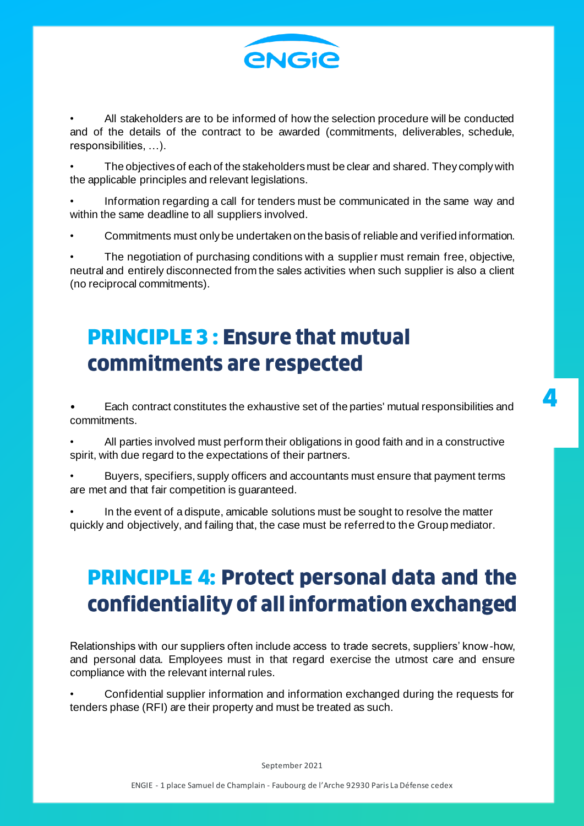

• All stakeholders are to be informed of how the selection procedure will be conducted and of the details of the contract to be awarded (commitments, deliverables, schedule, responsibilities, …).

• The objectives of each of the stakeholders must be clear and shared. They comply with the applicable principles and relevant legislations.

• Information regarding a call for tenders must be communicated in the same way and within the same deadline to all suppliers involved.

• Commitments must only be undertaken on the basis of reliable and verified information.

The negotiation of purchasing conditions with a supplier must remain free, objective, neutral and entirely disconnected from the sales activities when such supplier is also a client (no reciprocal commitments).

#### <span id="page-3-0"></span>**PRINCIPLE 3 : Ensure that mutual** commitments are respected

• Each contract constitutes the exhaustive set of the parties' mutual responsibilities and commitments.

• All parties involved must perform their obligations in good faith and in a constructive spirit, with due regard to the expectations of their partners.

• Buyers, specifiers, supply officers and accountants must ensure that payment terms are met and that fair competition is guaranteed.

• In the event of a dispute, amicable solutions must be sought to resolve the matter quickly and objectively, and failing that, the case must be referred to the Group mediator.

## <span id="page-3-1"></span>**PRINCIPLE 4: Protect personal data and the** confidentiality of all information exchanged

Relationships with our suppliers often include access to trade secrets, suppliers' know-how, and personal data. Employees must in that regard exercise the utmost care and ensure compliance with the relevant internal rules.

• Confidential supplier information and information exchanged during the requests for tenders phase (RFI) are their property and must be treated as such.

September 2021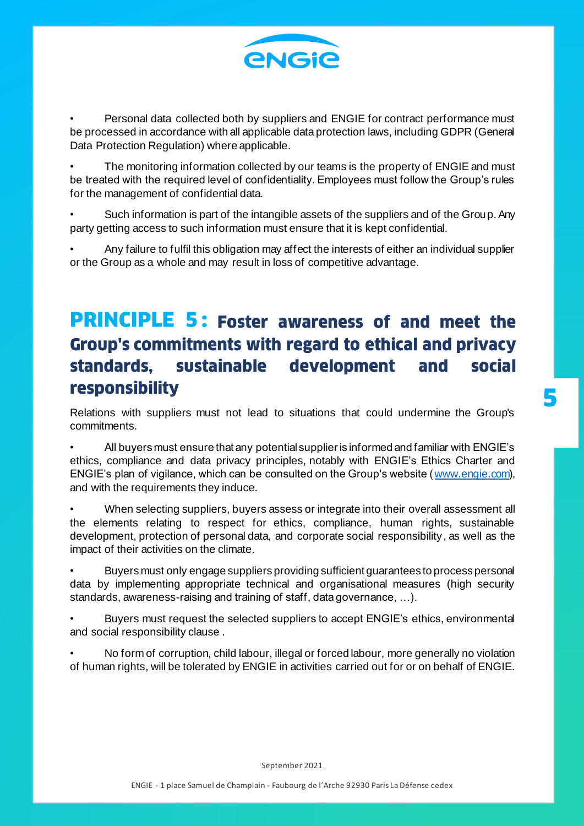

Personal data collected both by suppliers and ENGIE for contract performance must be processed in accordance with all applicable data protection laws, including GDPR (General Data Protection Regulation) where applicable.

The monitoring information collected by our teams is the property of ENGIE and must be treated with the required level of confidentiality. Employees must follow the Group's rules for the management of confidential data.

• Such information is part of the intangible assets of the suppliers and of the Group. Any party getting access to such information must ensure that it is kept confidential.

• Any failure to fulfil this obligation may affect the interests of either an individual supplier or the Group as a whole and may result in loss of competitive advantage.

#### **PRINCIPLE 5: Foster awareness of and meet the Group's commitments with regard to ethical and privacy** standards. sustainable development and social responsibility

Relations with suppliers must not lead to situations that could undermine the Group's commitments.

• All buyers must ensure that any potential supplier is informed and familiar with ENGIE's ethics, compliance and data privacy principles, notably with ENGIE's Ethics Charter and ENGIE's plan of vigilance, which can be consulted on the Group's website [\(www.engie.com\)](http://www.engie.com/), and with the requirements they induce.

• When selecting suppliers, buyers assess or integrate into their overall assessment all the elements relating to respect for ethics, compliance, human rights, sustainable development, protection of personal data, and corporate social responsibility, as well as the impact of their activities on the climate.

• Buyers must only engage suppliers providing sufficient guarantees to process personal data by implementing appropriate technical and organisational measures (high security standards, awareness-raising and training of staff, data governance, …).

• Buyers must request the selected suppliers to accept ENGIE's ethics, environmental and social responsibility clause .

• No form of corruption, child labour, illegal or forced labour, more generally no violation of human rights, will be tolerated by ENGIE in activities carried out for or on behalf of ENGIE.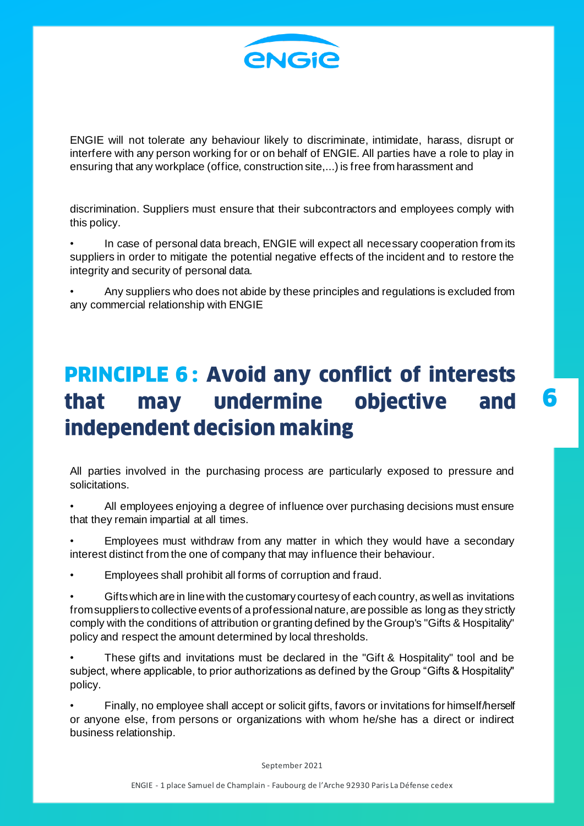

ENGIE will not tolerate any behaviour likely to discriminate, intimidate, harass, disrupt or interfere with any person working for or on behalf of ENGIE. All parties have a role to play in ensuring that any workplace (office, construction site,...) is free from harassment and

discrimination. Suppliers must ensure that their subcontractors and employees comply with this policy.

• In case of personal data breach, ENGIE will expect all necessary cooperation from its suppliers in order to mitigate the potential negative effects of the incident and to restore the integrity and security of personal data.

• Any suppliers who does not abide by these principles and regulations is excluded from any commercial relationship with ENGIE

#### <span id="page-5-0"></span>**PRINCIPLE 6: Avoid any conflict of interests** may undermine that objective and independent decision making

All parties involved in the purchasing process are particularly exposed to pressure and solicitations.

• All employees enjoying a degree of influence over purchasing decisions must ensure that they remain impartial at all times.

• Employees must withdraw from any matter in which they would have a secondary interest distinct from the one of company that may influence their behaviour.

• Employees shall prohibit all forms of corruption and fraud.

• Gifts which are in line with the customary courtesy of each country, as well as invitations from suppliers to collective events of a professional nature, are possible as long as they strictly comply with the conditions of attribution or granting defined by the Group's "Gifts & Hospitality" policy and respect the amount determined by local thresholds.

• These gifts and invitations must be declared in the "Gift & Hospitality" tool and be subject, where applicable, to prior authorizations as defined by the Group "Gifts & Hospitality" policy.

• Finally, no employee shall accept or solicit gifts, favors or invitations for himself/herself or anyone else, from persons or organizations with whom he/she has a direct or indirect business relationship.

September 2021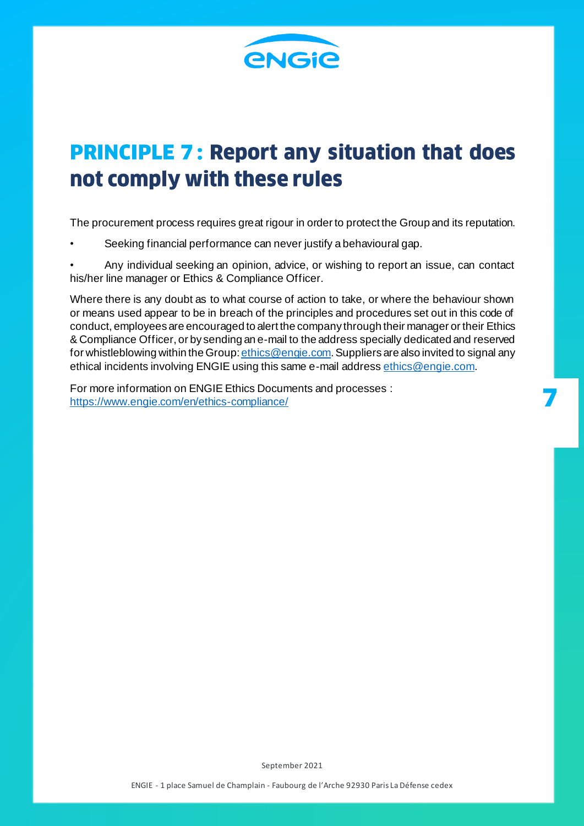

#### <span id="page-6-0"></span>**PRINCIPLE 7: Report any situation that does** not comply with these rules

The procurement process requires great rigour in order to protect the Group and its reputation.

Seeking financial performance can never justify a behavioural gap.

• Any individual seeking an opinion, advice, or wishing to report an issue, can contact his/her line manager or Ethics & Compliance Officer.

Where there is any doubt as to what course of action to take, or where the behaviour shown or means used appear to be in breach of the principles and procedures set out in this code of conduct, employees are encouraged to alert the company through their manager or their Ethics & Compliance Officer, or by sending an e-mail to the address specially dedicated and reserved for whistleblowing within the Group: *ethics@engie.com*. Suppliers are also invited to signal any ethical incidents involving ENGIE using this same e-mail addres[s ethics@engie.com](mailto:ethics@engie.com).

For more information on ENGIE Ethics Documents and processes : <https://www.engie.com/en/ethics-compliance/>